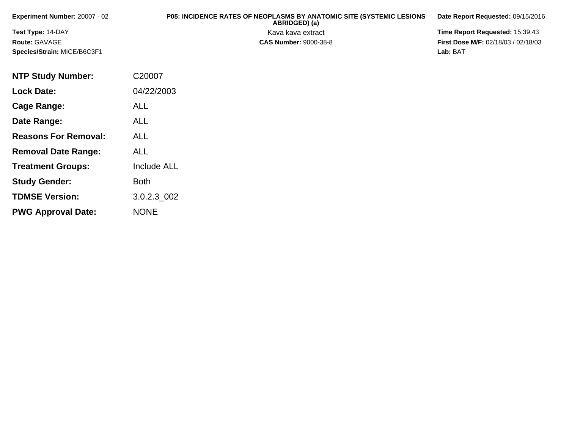| <b>Experiment Number: 20007 - 02</b> | <b>P05: INCIDENCE RATES OF NEOPLASMS BY ANATOMIC SITE (SYSTEMIC LESIONS</b><br>ABRIDGED) (a) | Date Report Requested: 09/15/2016          |
|--------------------------------------|----------------------------------------------------------------------------------------------|--------------------------------------------|
| <b>Test Type: 14-DAY</b>             | Kava kava extract                                                                            | <b>Time Report Requested: 15:39:43</b>     |
| <b>Route: GAVAGE</b>                 | <b>CAS Number: 9000-38-8</b>                                                                 | <b>First Dose M/F: 02/18/03 / 02/18/03</b> |
| Species/Strain: MICE/B6C3F1          |                                                                                              | Lab: BAT                                   |

| <b>NTP Study Number:</b>    | C20007             |
|-----------------------------|--------------------|
| <b>Lock Date:</b>           | 04/22/2003         |
| Cage Range:                 | <b>ALL</b>         |
| Date Range:                 | ALL                |
| <b>Reasons For Removal:</b> | ALL                |
| <b>Removal Date Range:</b>  | ALL                |
| <b>Treatment Groups:</b>    | <b>Include ALL</b> |
| <b>Study Gender:</b>        | Both               |
| <b>TDMSE Version:</b>       | 3.0.2.3 002        |
| <b>PWG Approval Date:</b>   | <b>NONE</b>        |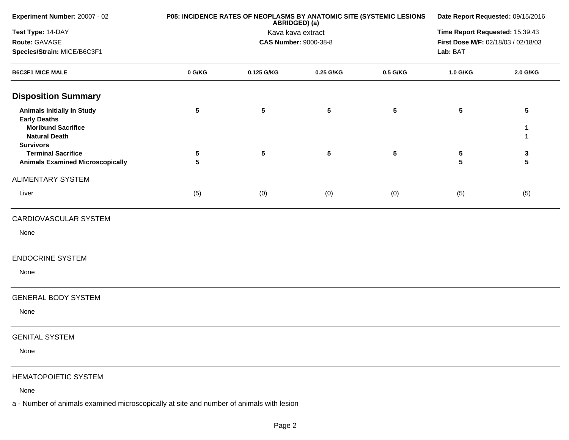| Experiment Number: 20007 - 02                                                                                                                                                                             | P05: INCIDENCE RATES OF NEOPLASMS BY ANATOMIC SITE (SYSTEMIC LESIONS | Date Report Requested: 09/15/2016<br>Time Report Requested: 15:39:43<br>First Dose M/F: 02/18/03 / 02/18/03<br>Lab: BAT |                          |                 |             |                       |
|-----------------------------------------------------------------------------------------------------------------------------------------------------------------------------------------------------------|----------------------------------------------------------------------|-------------------------------------------------------------------------------------------------------------------------|--------------------------|-----------------|-------------|-----------------------|
| Test Type: 14-DAY<br>Route: GAVAGE<br>Species/Strain: MICE/B6C3F1                                                                                                                                         |                                                                      |                                                                                                                         |                          |                 |             |                       |
| <b>B6C3F1 MICE MALE</b>                                                                                                                                                                                   | 0 G/KG                                                               | 0.125 G/KG                                                                                                              | 0.25 G/KG                | 0.5 G/KG        | 1.0 G/KG    | 2.0 G/KG              |
| <b>Disposition Summary</b>                                                                                                                                                                                |                                                                      |                                                                                                                         |                          |                 |             |                       |
| <b>Animals Initially In Study</b><br><b>Early Deaths</b><br><b>Moribund Sacrifice</b><br><b>Natural Death</b><br><b>Survivors</b><br><b>Terminal Sacrifice</b><br><b>Animals Examined Microscopically</b> | $\sqrt{5}$<br>5<br>5                                                 | 5<br>5                                                                                                                  | $\sqrt{5}$<br>$\sqrt{5}$ | 5<br>$\sqrt{5}$ | 5<br>5<br>5 | 5<br>1<br>1<br>3<br>5 |
| <b>ALIMENTARY SYSTEM</b>                                                                                                                                                                                  |                                                                      |                                                                                                                         |                          |                 |             |                       |
| Liver                                                                                                                                                                                                     | (5)                                                                  | (0)                                                                                                                     | (0)                      | (0)             | (5)         | (5)                   |
| CARDIOVASCULAR SYSTEM                                                                                                                                                                                     |                                                                      |                                                                                                                         |                          |                 |             |                       |
| None                                                                                                                                                                                                      |                                                                      |                                                                                                                         |                          |                 |             |                       |
| <b>ENDOCRINE SYSTEM</b>                                                                                                                                                                                   |                                                                      |                                                                                                                         |                          |                 |             |                       |
| None                                                                                                                                                                                                      |                                                                      |                                                                                                                         |                          |                 |             |                       |
| <b>GENERAL BODY SYSTEM</b>                                                                                                                                                                                |                                                                      |                                                                                                                         |                          |                 |             |                       |
| None                                                                                                                                                                                                      |                                                                      |                                                                                                                         |                          |                 |             |                       |
| <b>GENITAL SYSTEM</b>                                                                                                                                                                                     |                                                                      |                                                                                                                         |                          |                 |             |                       |
| None                                                                                                                                                                                                      |                                                                      |                                                                                                                         |                          |                 |             |                       |
| <b>HEMATOPOIETIC SYSTEM</b>                                                                                                                                                                               |                                                                      |                                                                                                                         |                          |                 |             |                       |
| None                                                                                                                                                                                                      |                                                                      |                                                                                                                         |                          |                 |             |                       |
| a - Number of animals examined microscopically at site and number of animals with lesion                                                                                                                  |                                                                      |                                                                                                                         |                          |                 |             |                       |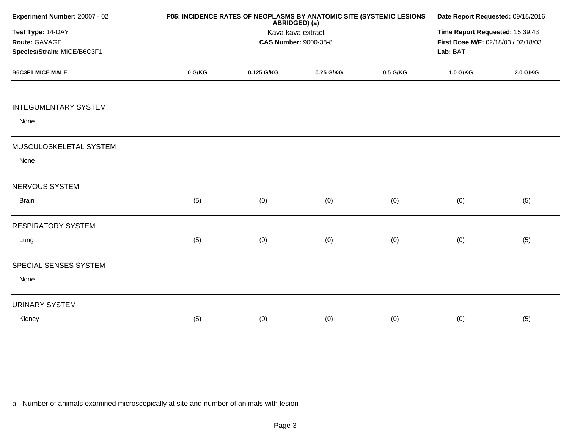| Experiment Number: 20007 - 02      |        | P05: INCIDENCE RATES OF NEOPLASMS BY ANATOMIC SITE (SYSTEMIC LESIONS<br>ABRIDGED) (a)<br>Kava kava extract<br><b>CAS Number: 9000-38-8</b> |                                                 |          |          |          |
|------------------------------------|--------|--------------------------------------------------------------------------------------------------------------------------------------------|-------------------------------------------------|----------|----------|----------|
| Test Type: 14-DAY<br>Route: GAVAGE |        |                                                                                                                                            |                                                 |          |          |          |
| Species/Strain: MICE/B6C3F1        |        |                                                                                                                                            | First Dose M/F: 02/18/03 / 02/18/03<br>Lab: BAT |          |          |          |
| <b>B6C3F1 MICE MALE</b>            | 0 G/KG | 0.125 G/KG                                                                                                                                 | 0.25 G/KG                                       | 0.5 G/KG | 1.0 G/KG | 2.0 G/KG |
| <b>INTEGUMENTARY SYSTEM</b>        |        |                                                                                                                                            |                                                 |          |          |          |
| None                               |        |                                                                                                                                            |                                                 |          |          |          |
| MUSCULOSKELETAL SYSTEM             |        |                                                                                                                                            |                                                 |          |          |          |
| None                               |        |                                                                                                                                            |                                                 |          |          |          |
| NERVOUS SYSTEM                     |        |                                                                                                                                            |                                                 |          |          |          |
| <b>Brain</b>                       | (5)    | (0)                                                                                                                                        | (0)                                             | (0)      | (0)      | (5)      |
| <b>RESPIRATORY SYSTEM</b>          |        |                                                                                                                                            |                                                 |          |          |          |
| Lung                               | (5)    | (0)                                                                                                                                        | (0)                                             | (0)      | (0)      | (5)      |
| SPECIAL SENSES SYSTEM              |        |                                                                                                                                            |                                                 |          |          |          |
| None                               |        |                                                                                                                                            |                                                 |          |          |          |
| <b>URINARY SYSTEM</b>              |        |                                                                                                                                            |                                                 |          |          |          |
| Kidney                             | (5)    | (0)                                                                                                                                        | (0)                                             | (0)      | (0)      | (5)      |
|                                    |        |                                                                                                                                            |                                                 |          |          |          |

a - Number of animals examined microscopically at site and number of animals with lesion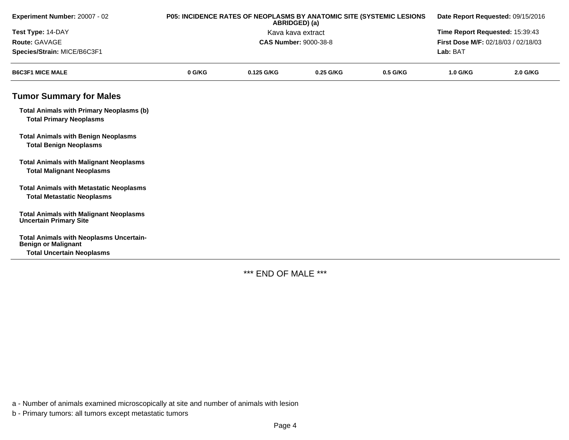| Experiment Number: 20007 - 02                                                       | P05: INCIDENCE RATES OF NEOPLASMS BY ANATOMIC SITE (SYSTEMIC LESIONS<br>ABRIDGED) (a) |            |                              |          |                                     | Date Report Requested: 09/15/2016 |  |
|-------------------------------------------------------------------------------------|---------------------------------------------------------------------------------------|------------|------------------------------|----------|-------------------------------------|-----------------------------------|--|
| Test Type: 14-DAY                                                                   |                                                                                       |            | Kava kava extract            |          | Time Report Requested: 15:39:43     |                                   |  |
| Route: GAVAGE                                                                       |                                                                                       |            | <b>CAS Number: 9000-38-8</b> |          | First Dose M/F: 02/18/03 / 02/18/03 |                                   |  |
| Species/Strain: MICE/B6C3F1                                                         |                                                                                       |            |                              |          | Lab: BAT                            |                                   |  |
| <b>B6C3F1 MICE MALE</b>                                                             | 0 G/KG                                                                                | 0.125 G/KG | 0.25 G/KG                    | 0.5 G/KG | 1.0 G/KG                            | 2.0 G/KG                          |  |
| <b>Tumor Summary for Males</b>                                                      |                                                                                       |            |                              |          |                                     |                                   |  |
| <b>Total Animals with Primary Neoplasms (b)</b><br><b>Total Primary Neoplasms</b>   |                                                                                       |            |                              |          |                                     |                                   |  |
| <b>Total Animals with Benign Neoplasms</b><br><b>Total Benign Neoplasms</b>         |                                                                                       |            |                              |          |                                     |                                   |  |
| <b>Total Animals with Malignant Neoplasms</b><br><b>Total Malignant Neoplasms</b>   |                                                                                       |            |                              |          |                                     |                                   |  |
| <b>Total Animals with Metastatic Neoplasms</b><br><b>Total Metastatic Neoplasms</b> |                                                                                       |            |                              |          |                                     |                                   |  |
| <b>Total Animals with Malignant Neoplasms</b><br><b>Uncertain Primary Site</b>      |                                                                                       |            |                              |          |                                     |                                   |  |
| <b>Total Animals with Neoplasms Uncertain-</b><br><b>Benign or Malignant</b>        |                                                                                       |            |                              |          |                                     |                                   |  |
| <b>Total Uncertain Neoplasms</b>                                                    |                                                                                       |            |                              |          |                                     |                                   |  |

\*\*\* END OF MALE \*\*\*

a - Number of animals examined microscopically at site and number of animals with lesion

b - Primary tumors: all tumors except metastatic tumors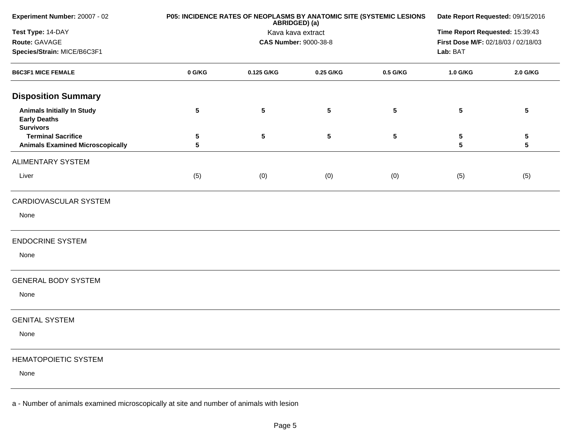| Experiment Number: 20007 - 02                                                | P05: INCIDENCE RATES OF NEOPLASMS BY ANATOMIC SITE (SYSTEMIC LESIONS<br>ABRIDGED) (a) |            |                              |                 | Date Report Requested: 09/15/2016   |                      |  |
|------------------------------------------------------------------------------|---------------------------------------------------------------------------------------|------------|------------------------------|-----------------|-------------------------------------|----------------------|--|
| Test Type: 14-DAY                                                            |                                                                                       |            | Kava kava extract            |                 | Time Report Requested: 15:39:43     |                      |  |
| Route: GAVAGE                                                                |                                                                                       |            | <b>CAS Number: 9000-38-8</b> |                 | First Dose M/F: 02/18/03 / 02/18/03 |                      |  |
| Species/Strain: MICE/B6C3F1                                                  |                                                                                       |            |                              |                 | Lab: BAT                            |                      |  |
| <b>B6C3F1 MICE FEMALE</b>                                                    | 0 G/KG                                                                                | 0.125 G/KG | 0.25 G/KG                    | 0.5 G/KG        | 1.0 G/KG                            | 2.0 G/KG             |  |
| <b>Disposition Summary</b>                                                   |                                                                                       |            |                              |                 |                                     |                      |  |
| <b>Animals Initially In Study</b><br><b>Early Deaths</b><br><b>Survivors</b> | 5                                                                                     | 5          | $5\phantom{.0}$              | 5               | 5                                   | $5\phantom{.0}$      |  |
| <b>Terminal Sacrifice</b><br><b>Animals Examined Microscopically</b>         | 5<br>5                                                                                | $\sqrt{5}$ | $5\phantom{.0}$              | $5\phantom{.0}$ | 5<br>5                              | 5<br>$5\phantom{.0}$ |  |
| <b>ALIMENTARY SYSTEM</b>                                                     |                                                                                       |            |                              |                 |                                     |                      |  |
| Liver                                                                        | (5)                                                                                   | (0)        | (0)                          | (0)             | (5)                                 | (5)                  |  |
| CARDIOVASCULAR SYSTEM                                                        |                                                                                       |            |                              |                 |                                     |                      |  |
| None                                                                         |                                                                                       |            |                              |                 |                                     |                      |  |
| <b>ENDOCRINE SYSTEM</b>                                                      |                                                                                       |            |                              |                 |                                     |                      |  |
| None                                                                         |                                                                                       |            |                              |                 |                                     |                      |  |
| <b>GENERAL BODY SYSTEM</b>                                                   |                                                                                       |            |                              |                 |                                     |                      |  |
| None                                                                         |                                                                                       |            |                              |                 |                                     |                      |  |
| <b>GENITAL SYSTEM</b>                                                        |                                                                                       |            |                              |                 |                                     |                      |  |
| None                                                                         |                                                                                       |            |                              |                 |                                     |                      |  |
| <b>HEMATOPOIETIC SYSTEM</b>                                                  |                                                                                       |            |                              |                 |                                     |                      |  |
| None                                                                         |                                                                                       |            |                              |                 |                                     |                      |  |
|                                                                              |                                                                                       |            |                              |                 |                                     |                      |  |

a - Number of animals examined microscopically at site and number of animals with lesion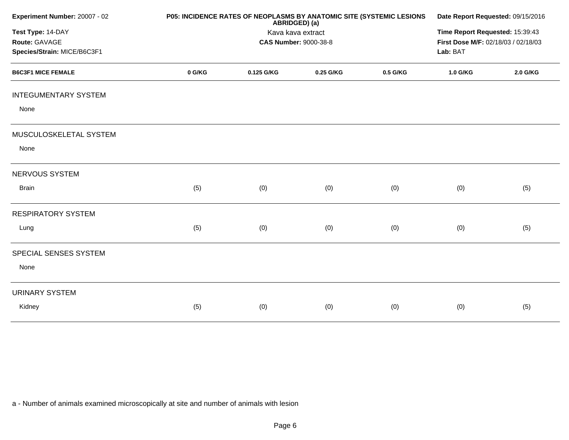| P05: INCIDENCE RATES OF NEOPLASMS BY ANATOMIC SITE (SYSTEMIC LESIONS<br>ABRIDGED) (a)<br>Kava kava extract<br><b>CAS Number: 9000-38-8</b> |     |     |     |     | Date Report Requested: 09/15/2016<br>Time Report Requested: 15:39:43<br>First Dose M/F: 02/18/03 / 02/18/03<br>Lab: BAT |  |
|--------------------------------------------------------------------------------------------------------------------------------------------|-----|-----|-----|-----|-------------------------------------------------------------------------------------------------------------------------|--|
|                                                                                                                                            |     |     |     |     |                                                                                                                         |  |
|                                                                                                                                            |     |     |     |     |                                                                                                                         |  |
|                                                                                                                                            |     |     |     |     |                                                                                                                         |  |
|                                                                                                                                            |     |     |     |     |                                                                                                                         |  |
|                                                                                                                                            |     |     |     |     |                                                                                                                         |  |
|                                                                                                                                            |     |     |     |     |                                                                                                                         |  |
| (5)                                                                                                                                        | (0) | (0) | (0) | (0) | (5)                                                                                                                     |  |
|                                                                                                                                            |     |     |     |     |                                                                                                                         |  |
| (5)                                                                                                                                        | (0) | (0) | (0) | (0) | (5)                                                                                                                     |  |
|                                                                                                                                            |     |     |     |     |                                                                                                                         |  |
|                                                                                                                                            |     |     |     |     |                                                                                                                         |  |
|                                                                                                                                            |     |     |     |     |                                                                                                                         |  |
| (5)                                                                                                                                        | (0) | (0) | (0) | (0) | (5)                                                                                                                     |  |
|                                                                                                                                            |     |     |     |     |                                                                                                                         |  |

a - Number of animals examined microscopically at site and number of animals with lesion